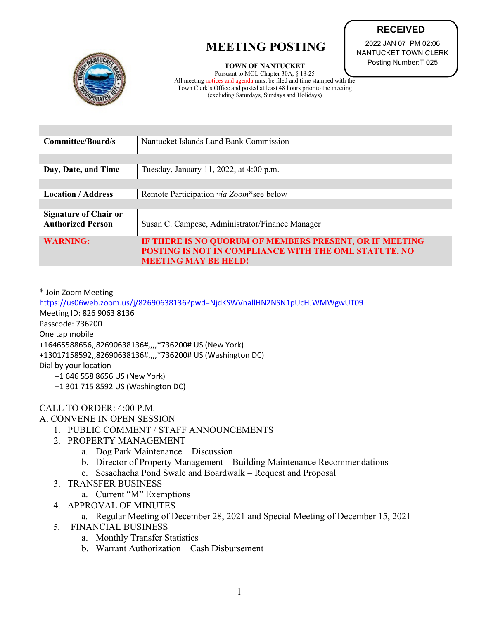## **MEETING POSTING**



**TOWN OF NANTUCKET**

Pursuant to MGL Chapter 30A, § 18-25 All meeting notices and agenda must be filed and time stamped with the Town Clerk's Office and posted at least 48 hours prior to the meeting (excluding Saturdays, Sundays and Holidays)

**RECEIVED** 2022 JAN 07 PM 02:06

NANTUCKET TOWN CLERK Posting Number:T 025

| Committee/Board/s                                        | Nantucket Islands Land Bank Commission                                                                                                          |
|----------------------------------------------------------|-------------------------------------------------------------------------------------------------------------------------------------------------|
| Day, Date, and Time                                      | Tuesday, January 11, 2022, at 4:00 p.m.                                                                                                         |
|                                                          |                                                                                                                                                 |
| <b>Location / Address</b>                                | Remote Participation via Zoom*see below                                                                                                         |
| <b>Signature of Chair or</b><br><b>Authorized Person</b> | Susan C. Campese, Administrator/Finance Manager                                                                                                 |
| <b>WARNING:</b>                                          | IF THERE IS NO QUORUM OF MEMBERS PRESENT, OR IF MEETING<br>POSTING IS NOT IN COMPLIANCE WITH THE OML STATUTE, NO<br><b>MEETING MAY BE HELD!</b> |

\* Join Zoom Meeting

<https://us06web.zoom.us/j/82690638136?pwd=NjdKSWVnallHN2NSN1pUcHJWMWgwUT09> Meeting ID: 826 9063 8136 Passcode: 736200 One tap mobile +16465588656,,82690638136#,,,,\*736200# US (New York) +13017158592,,82690638136#,,,,\*736200# US (Washington DC) Dial by your location +1 646 558 8656 US (New York) +1 301 715 8592 US (Washington DC)

## CALL TO ORDER: 4:00 P.M.

## A. CONVENE IN OPEN SESSION

- 1. PUBLIC COMMENT / STAFF ANNOUNCEMENTS
- 2. PROPERTY MANAGEMENT
	- a. Dog Park Maintenance Discussion
	- b. Director of Property Management Building Maintenance Recommendations
	- c. Sesachacha Pond Swale and Boardwalk Request and Proposal
- 3. TRANSFER BUSINESS
	- a. Current "M" Exemptions
- 4. APPROVAL OF MINUTES

## a. Regular Meeting of December 28, 2021 and Special Meeting of December 15, 2021

- 5. FINANCIAL BUSINESS
	- a. Monthly Transfer Statistics
	- b. Warrant Authorization Cash Disbursement